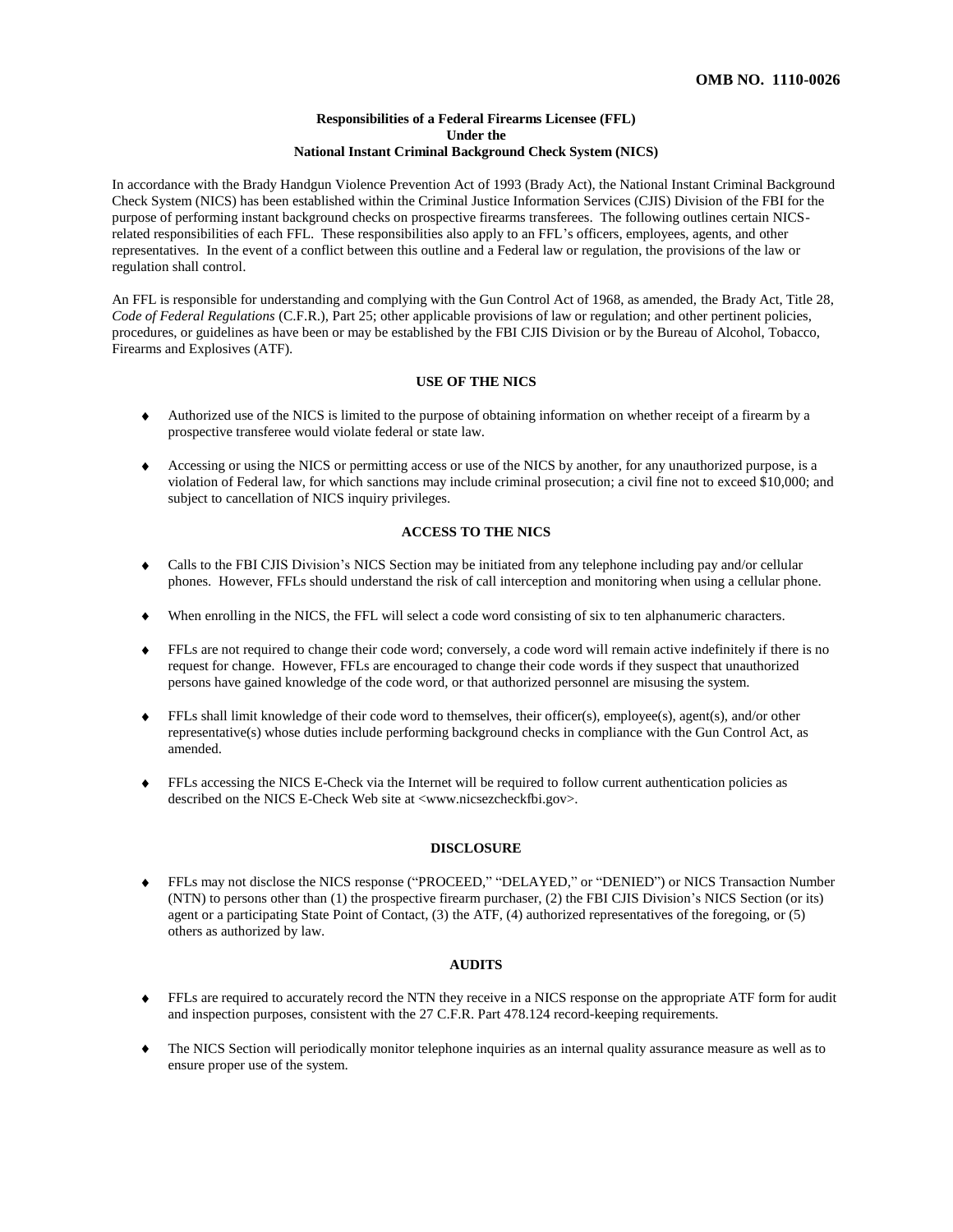#### **Responsibilities of a Federal Firearms Licensee (FFL) Under the National Instant Criminal Background Check System (NICS)**

In accordance with the Brady Handgun Violence Prevention Act of 1993 (Brady Act), the National Instant Criminal Background Check System (NICS) has been established within the Criminal Justice Information Services (CJIS) Division of the FBI for the purpose of performing instant background checks on prospective firearms transferees. The following outlines certain NICSrelated responsibilities of each FFL. These responsibilities also apply to an FFL's officers, employees, agents, and other representatives. In the event of a conflict between this outline and a Federal law or regulation, the provisions of the law or regulation shall control.

An FFL is responsible for understanding and complying with the Gun Control Act of 1968, as amended, the Brady Act, Title 28, *Code of Federal Regulations* (C.F.R.), Part 25; other applicable provisions of law or regulation; and other pertinent policies, procedures, or guidelines as have been or may be established by the FBI CJIS Division or by the Bureau of Alcohol, Tobacco, Firearms and Explosives (ATF).

## **USE OF THE NICS**

- Authorized use of the NICS is limited to the purpose of obtaining information on whether receipt of a firearm by a prospective transferee would violate federal or state law.
- Accessing or using the NICS or permitting access or use of the NICS by another, for any unauthorized purpose, is a violation of Federal law, for which sanctions may include criminal prosecution; a civil fine not to exceed \$10,000; and subject to cancellation of NICS inquiry privileges.

# **ACCESS TO THE NICS**

- Calls to the FBI CJIS Division's NICS Section may be initiated from any telephone including pay and/or cellular phones. However, FFLs should understand the risk of call interception and monitoring when using a cellular phone.
- When enrolling in the NICS, the FFL will select a code word consisting of six to ten alphanumeric characters.
- FFLs are not required to change their code word; conversely, a code word will remain active indefinitely if there is no request for change. However, FFLs are encouraged to change their code words if they suspect that unauthorized persons have gained knowledge of the code word, or that authorized personnel are misusing the system.
- FFLs shall limit knowledge of their code word to themselves, their officer(s), employee(s), agent(s), and/or other  $\bullet$ representative(s) whose duties include performing background checks in compliance with the Gun Control Act, as amended.
- FFLs accessing the NICS E-Check via the Internet will be required to follow current authentication policies as described on the NICS E-Check Web site at <www.nicsezcheckfbi.gov>.

### **DISCLOSURE**

FFLs may not disclose the NICS response ("PROCEED," "DELAYED," or "DENIED") or NICS Transaction Number (NTN) to persons other than (1) the prospective firearm purchaser, (2) the FBI CJIS Division's NICS Section (or its) agent or a participating State Point of Contact, (3) the ATF, (4) authorized representatives of the foregoing, or (5) others as authorized by law.

#### **AUDITS**

- FFLs are required to accurately record the NTN they receive in a NICS response on the appropriate ATF form for audit and inspection purposes, consistent with the 27 C.F.R. Part 478.124 record-keeping requirements.
- The NICS Section will periodically monitor telephone inquiries as an internal quality assurance measure as well as to ensure proper use of the system.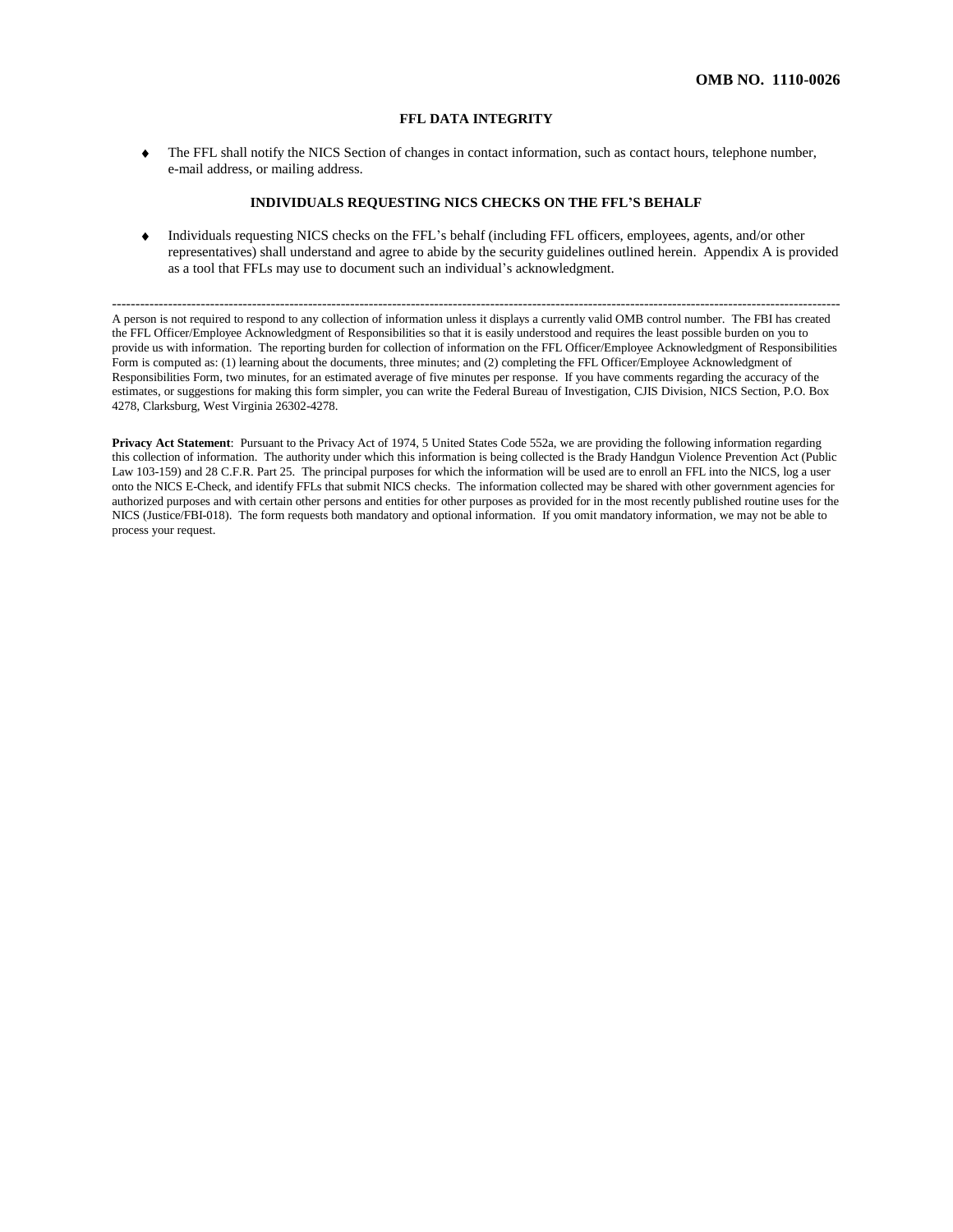#### **FFL DATA INTEGRITY**

The FFL shall notify the NICS Section of changes in contact information, such as contact hours, telephone number, e-mail address, or mailing address.

#### **INDIVIDUALS REQUESTING NICS CHECKS ON THE FFL'S BEHALF**

Individuals requesting NICS checks on the FFL's behalf (including FFL officers, employees, agents, and/or other  $\bullet$ representatives) shall understand and agree to abide by the security guidelines outlined herein. Appendix A is provided as a tool that FFLs may use to document such an individual's acknowledgment.

------------------------------------------------------------------------------------------------------------------------------------------------------------ A person is not required to respond to any collection of information unless it displays a currently valid OMB control number. The FBI has created the FFL Officer/Employee Acknowledgment of Responsibilities so that it is easily understood and requires the least possible burden on you to provide us with information. The reporting burden for collection of information on the FFL Officer/Employee Acknowledgment of Responsibilities Form is computed as: (1) learning about the documents, three minutes; and (2) completing the FFL Officer/Employee Acknowledgment of Responsibilities Form, two minutes, for an estimated average of five minutes per response. If you have comments regarding the accuracy of the estimates, or suggestions for making this form simpler, you can write the Federal Bureau of Investigation, CJIS Division, NICS Section, P.O. Box 4278, Clarksburg, West Virginia 26302-4278.

**Privacy Act Statement**: Pursuant to the Privacy Act of 1974, 5 United States Code 552a, we are providing the following information regarding this collection of information. The authority under which this information is being collected is the Brady Handgun Violence Prevention Act (Public Law 103-159) and 28 C.F.R. Part 25. The principal purposes for which the information will be used are to enroll an FFL into the NICS, log a user onto the NICS E-Check, and identify FFLs that submit NICS checks. The information collected may be shared with other government agencies for authorized purposes and with certain other persons and entities for other purposes as provided for in the most recently published routine uses for the NICS (Justice/FBI-018). The form requests both mandatory and optional information. If you omit mandatory information, we may not be able to process your request.